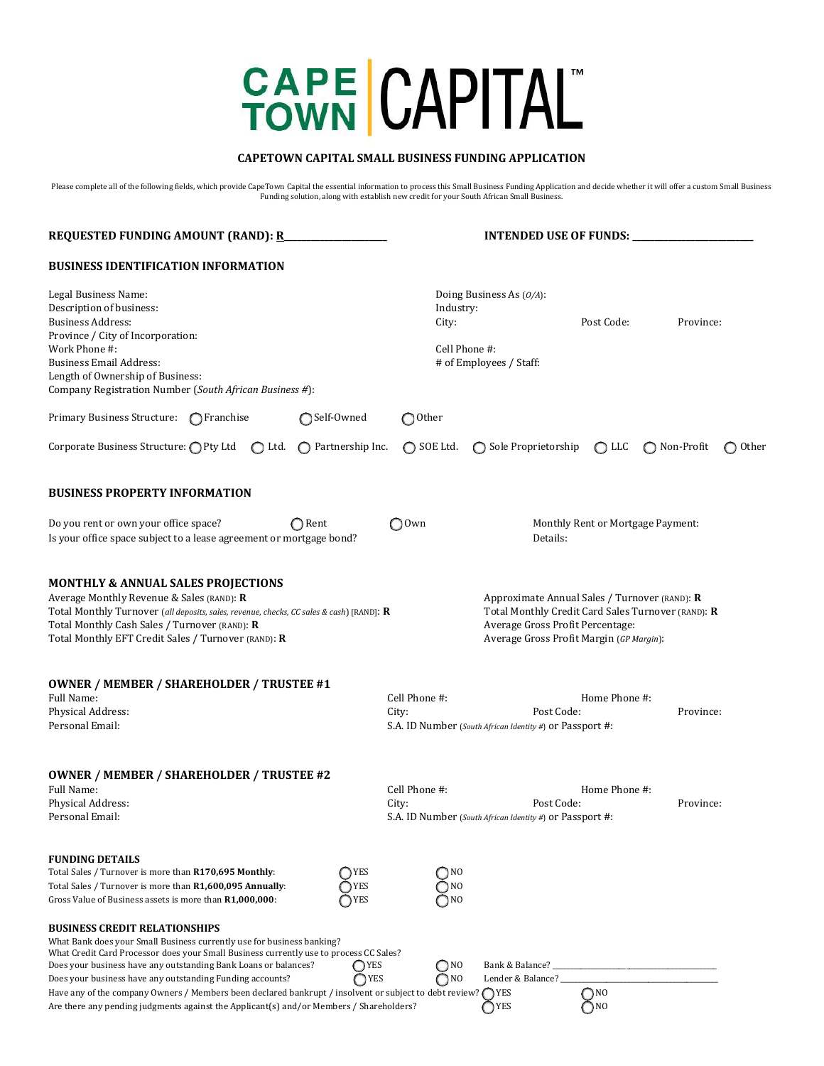# CAPE CAPITAL

# **CAPETOWN CAPITAL SMALL BUSINESS FUNDING APPLICATION**

Please complete all of the following fields, which provide CapeTown Capital the essential information to process this Small Business Funding Application and decide whether it will offer a custom Small Business<br>Funding solu

| <b>REQUESTED FUNDING AMOUNT (RAND): R</b>                                                                                                                                                                                                                                                                                                                                                                                                                                                                                                                   |                            | <b>INTENDED USE OF FUNDS:</b>             |                                                                                                                                                                                     |                               |              |       |  |  |
|-------------------------------------------------------------------------------------------------------------------------------------------------------------------------------------------------------------------------------------------------------------------------------------------------------------------------------------------------------------------------------------------------------------------------------------------------------------------------------------------------------------------------------------------------------------|----------------------------|-------------------------------------------|-------------------------------------------------------------------------------------------------------------------------------------------------------------------------------------|-------------------------------|--------------|-------|--|--|
| <b>BUSINESS IDENTIFICATION INFORMATION</b>                                                                                                                                                                                                                                                                                                                                                                                                                                                                                                                  |                            |                                           |                                                                                                                                                                                     |                               |              |       |  |  |
| Legal Business Name:<br>Description of business:<br><b>Business Address:</b><br>Province / City of Incorporation:<br>Work Phone #:<br><b>Business Email Address:</b><br>Length of Ownership of Business:<br>Company Registration Number (South African Business #):                                                                                                                                                                                                                                                                                         |                            | Industry:<br>City:<br>Cell Phone #:       | Doing Business As $(0/A)$ :<br># of Employees / Staff:                                                                                                                              | Post Code:                    | Province:    |       |  |  |
| Primary Business Structure: ◯ Franchise                                                                                                                                                                                                                                                                                                                                                                                                                                                                                                                     | ◯Self-Owned                | $\bigcirc$ Other                          |                                                                                                                                                                                     |                               |              |       |  |  |
| Corporate Business Structure: OPty Ltd<br>$\bigcirc$ Ltd.                                                                                                                                                                                                                                                                                                                                                                                                                                                                                                   | $\bigcap$ Partnership Inc. | $\bigcap$ SOE Ltd.                        | ◯ Sole Proprietorship                                                                                                                                                               | $\bigcirc$ LLC                | ◯ Non-Profit | Other |  |  |
| <b>BUSINESS PROPERTY INFORMATION</b>                                                                                                                                                                                                                                                                                                                                                                                                                                                                                                                        |                            |                                           |                                                                                                                                                                                     |                               |              |       |  |  |
| Do you rent or own your office space?<br>$\bigcap$ Rent<br>$\bigcirc$ Own<br>Is your office space subject to a lease agreement or mortgage bond?                                                                                                                                                                                                                                                                                                                                                                                                            |                            |                                           | Monthly Rent or Mortgage Payment:<br>Details:                                                                                                                                       |                               |              |       |  |  |
| <b>MONTHLY &amp; ANNUAL SALES PROJECTIONS</b><br>Average Monthly Revenue & Sales (RAND): R<br>Total Monthly Turnover (all deposits, sales, revenue, checks, CC sales & cash) [RAND]: R<br>Total Monthly Cash Sales / Turnover (RAND): R<br>Total Monthly EFT Credit Sales / Turnover (RAND): R                                                                                                                                                                                                                                                              |                            |                                           | Approximate Annual Sales / Turnover (RAND): R<br>Total Monthly Credit Card Sales Turnover (RAND): R<br>Average Gross Profit Percentage:<br>Average Gross Profit Margin (GP Margin): |                               |              |       |  |  |
| <b>OWNER / MEMBER / SHAREHOLDER / TRUSTEE #1</b><br>Full Name:<br>Physical Address:<br>Personal Email:                                                                                                                                                                                                                                                                                                                                                                                                                                                      |                            | Cell Phone #:<br>City:                    | Post Code:<br>S.A. ID Number (South African Identity #) or Passport #:                                                                                                              | Home Phone #:                 | Province:    |       |  |  |
| <b>OWNER / MEMBER / SHAREHOLDER / TRUSTEE #2</b><br>Full Name:<br>Physical Address:<br>Personal Email:                                                                                                                                                                                                                                                                                                                                                                                                                                                      |                            | Cell Phone #:<br>City:                    | Post Code:<br>S.A. ID Number (South African Identity #) or Passport #:                                                                                                              | Home Phone #:                 | Province:    |       |  |  |
| <b>FUNDING DETAILS</b><br>Total Sales / Turnover is more than R170,695 Monthly:<br>Total Sales / Turnover is more than R1,600,095 Annually:<br>Gross Value of Business assets is more than R1,000,000:                                                                                                                                                                                                                                                                                                                                                      | YES<br>TYES<br>$\neg$ YES  | $\neg$ NO<br>$\bigcap NQ$<br>$\bigcap NO$ |                                                                                                                                                                                     |                               |              |       |  |  |
| <b>BUSINESS CREDIT RELATIONSHIPS</b><br>What Bank does your Small Business currently use for business banking?<br>What Credit Card Processor does your Small Business currently use to process CC Sales?<br>Does your business have any outstanding Bank Loans or balances?<br>Does your business have any outstanding Funding accounts?<br>Have any of the company Owners / Members been declared bankrupt / insolvent or subject to debt review? $\bigcap$ YES<br>Are there any pending judgments against the Applicant(s) and/or Members / Shareholders? | ◯ YES<br>∩YES              | O <sub>N0</sub><br>O <sub>NO</sub>        | Bank & Balance?<br>Lender & Balance? _<br>OYES                                                                                                                                      | $\bigcap NQ$<br>$\bigcirc$ NO |              |       |  |  |